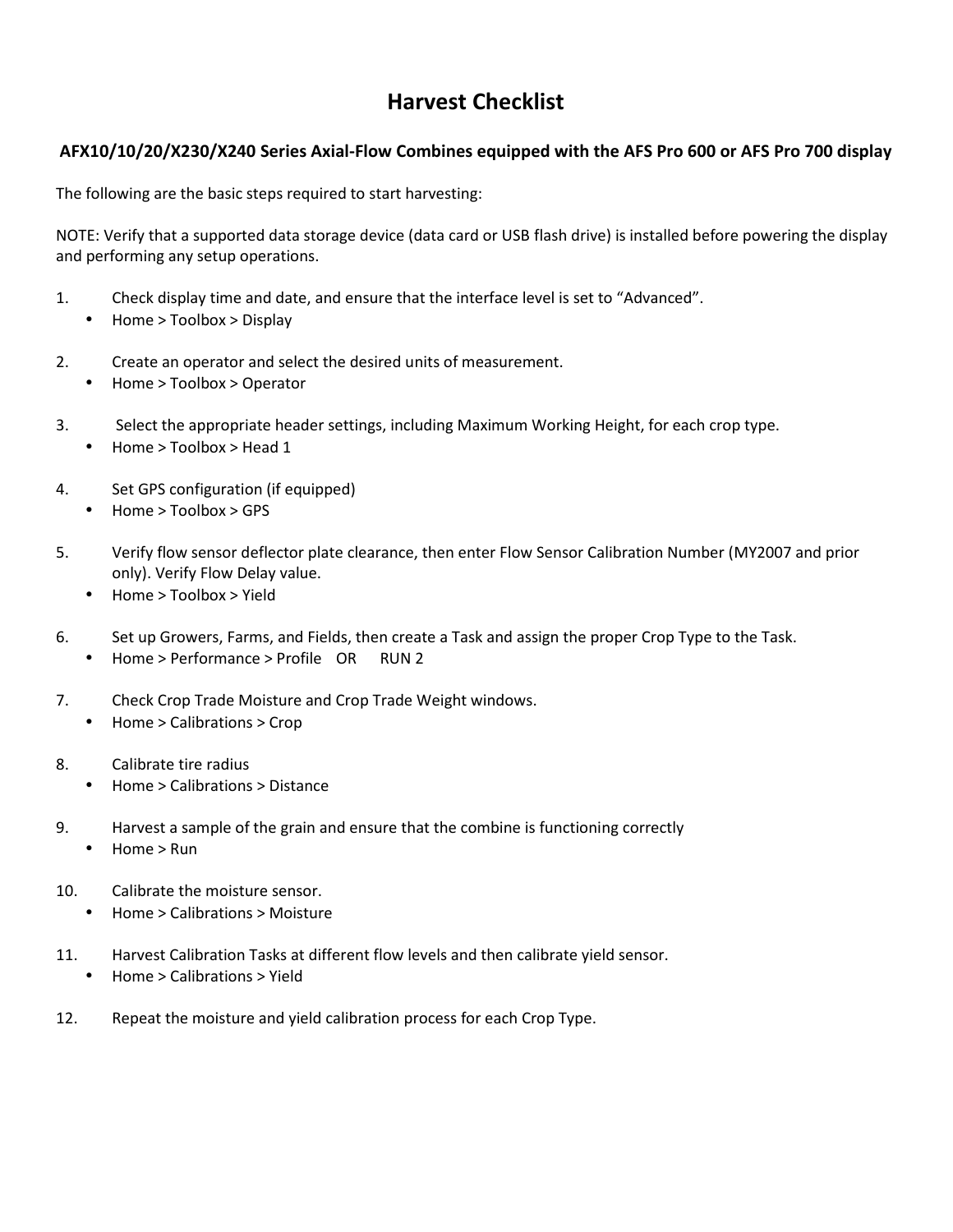# **Harvest Checklist**

### **AFX10/10/20/X230/X240 Series Axial-Flow Combines equipped with the AFS Pro 600 or AFS Pro 700 display**

The following are the basic steps required to start harvesting:

NOTE: Verify that a supported data storage device (data card or USB flash drive) is installed before powering the display and performing any setup operations.

- 1. Check display time and date, and ensure that the interface level is set to "Advanced". Home > Toolbox > Display
- 2. Create an operator and select the desired units of measurement. Home > Toolbox > Operator
- 3. Select the appropriate header settings, including Maximum Working Height, for each crop type. Home > Toolbox > Head 1
- 4. Set GPS configuration (if equipped) Home > Toolbox > GPS
- 5. Verify flow sensor deflector plate clearance, then enter Flow Sensor Calibration Number (MY2007 and prior only). Verify Flow Delay value.
	- Home > Toolbox > Yield
- 6. Set up Growers, Farms, and Fields, then create a Task and assign the proper Crop Type to the Task. Home > Performance > Profile OR RUN 2
- 7. Check Crop Trade Moisture and Crop Trade Weight windows. Home > Calibrations > Crop
- 8. Calibrate tire radius Home > Calibrations > Distance
- 9. Harvest a sample of the grain and ensure that the combine is functioning correctly Home > Run
- 10. Calibrate the moisture sensor. Home > Calibrations > Moisture
- 11. Harvest Calibration Tasks at different flow levels and then calibrate yield sensor. Home > Calibrations > Yield
- 12. Repeat the moisture and yield calibration process for each Crop Type.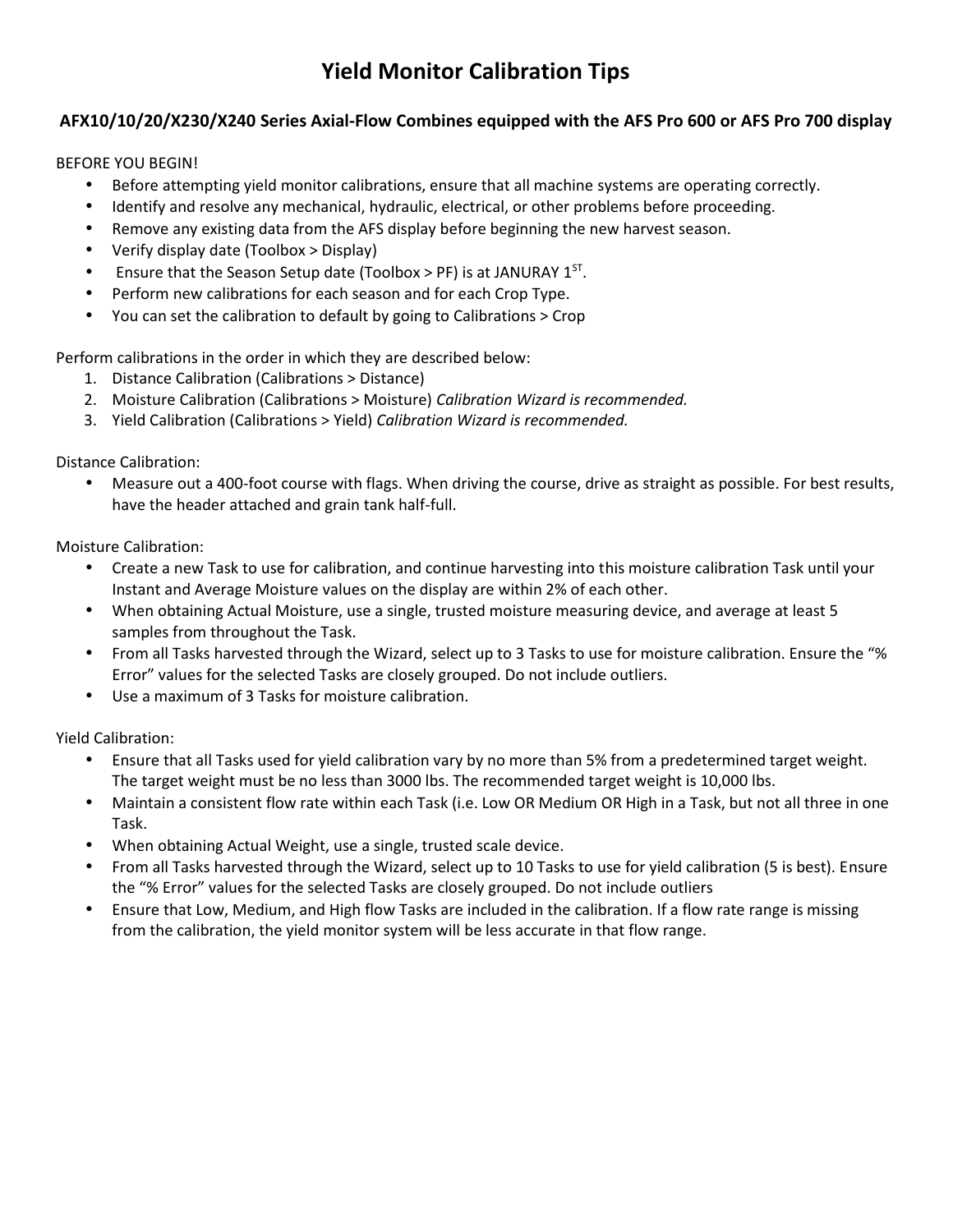# **Yield Monitor Calibration Tips**

### **AFX10/10/20/X230/X240 Series Axial-Flow Combines equipped with the AFS Pro 600 or AFS Pro 700 display**

#### BEFORE YOU BEGIN!

- Before attempting yield monitor calibrations, ensure that all machine systems are operating correctly.
- Identify and resolve any mechanical, hydraulic, electrical, or other problems before proceeding.
- Remove any existing data from the AFS display before beginning the new harvest season.
- Verify display date (Toolbox > Display)
- ) Ensure that the Season Setup date (Toolbox > PF) is at JANURAY  $1^{ST}$ .
- Perform new calibrations for each season and for each Crop Type.
- You can set the calibration to default by going to Calibrations > Crop

Perform calibrations in the order in which they are described below:

- 1. Distance Calibration (Calibrations > Distance)
- 2. Moisture Calibration (Calibrations > Moisture) *Calibration Wizard is recommended.*
- 3. Yield Calibration (Calibrations > Yield) *Calibration Wizard is recommended.*

Distance Calibration:

 Measure out a 400-foot course with flags. When driving the course, drive as straight as possible. For best results, have the header attached and grain tank half-full.

Moisture Calibration:

- Create a new Task to use for calibration, and continue harvesting into this moisture calibration Task until your Instant and Average Moisture values on the display are within 2% of each other.
- When obtaining Actual Moisture, use a single, trusted moisture measuring device, and average at least 5 samples from throughout the Task.
- From all Tasks harvested through the Wizard, select up to 3 Tasks to use for moisture calibration. Ensure the "% Error" values for the selected Tasks are closely grouped. Do not include outliers.
- Use a maximum of 3 Tasks for moisture calibration.

Yield Calibration:

- Ensure that all Tasks used for yield calibration vary by no more than 5% from a predetermined target weight. The target weight must be no less than 3000 lbs. The recommended target weight is 10,000 lbs.
- Maintain a consistent flow rate within each Task (i.e. Low OR Medium OR High in a Task, but not all three in one Task.
- When obtaining Actual Weight, use a single, trusted scale device.
- From all Tasks harvested through the Wizard, select up to 10 Tasks to use for yield calibration (5 is best). Ensure the "% Error" values for the selected Tasks are closely grouped. Do not include outliers
- Ensure that Low, Medium, and High flow Tasks are included in the calibration. If a flow rate range is missing from the calibration, the yield monitor system will be less accurate in that flow range.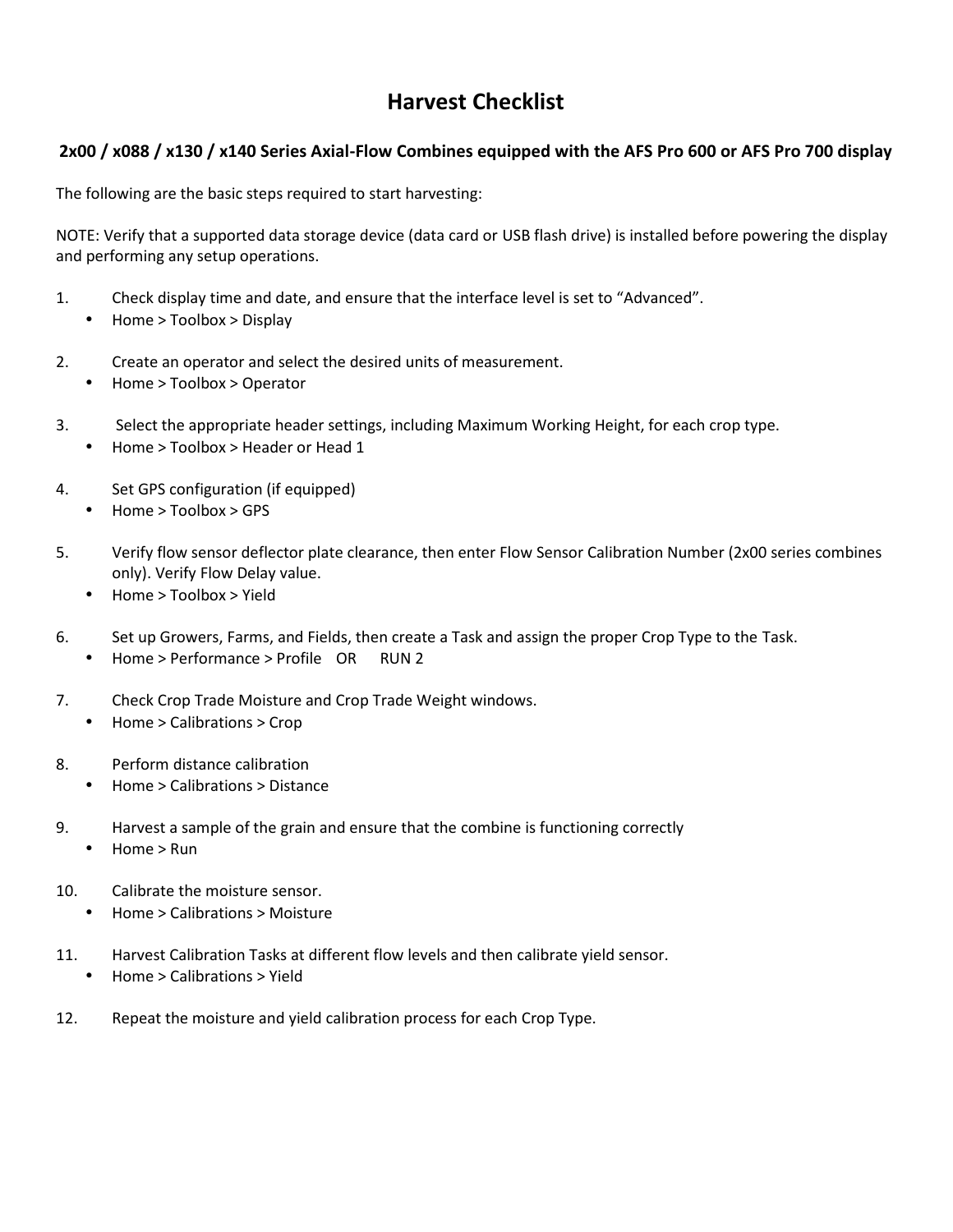# **Harvest Checklist**

### **2x00 / x088 / x130 / x140 Series Axial-Flow Combines equipped with the AFS Pro 600 or AFS Pro 700 display**

The following are the basic steps required to start harvesting:

NOTE: Verify that a supported data storage device (data card or USB flash drive) is installed before powering the display and performing any setup operations.

- 1. Check display time and date, and ensure that the interface level is set to "Advanced". Home > Toolbox > Display
- 2. Create an operator and select the desired units of measurement. Home > Toolbox > Operator
- 3. Select the appropriate header settings, including Maximum Working Height, for each crop type. Home > Toolbox > Header or Head 1
- 4. Set GPS configuration (if equipped) Home > Toolbox > GPS
- 5. Verify flow sensor deflector plate clearance, then enter Flow Sensor Calibration Number (2x00 series combines only). Verify Flow Delay value.
	- Home > Toolbox > Yield
- 6. Set up Growers, Farms, and Fields, then create a Task and assign the proper Crop Type to the Task. Home > Performance > Profile OR RUN 2
- 7. Check Crop Trade Moisture and Crop Trade Weight windows. Home > Calibrations > Crop
- 8. Perform distance calibration Home > Calibrations > Distance
- 9. Harvest a sample of the grain and ensure that the combine is functioning correctly Home > Run
- 10. Calibrate the moisture sensor. Home > Calibrations > Moisture
- 11. Harvest Calibration Tasks at different flow levels and then calibrate yield sensor. Home > Calibrations > Yield
- 12. Repeat the moisture and yield calibration process for each Crop Type.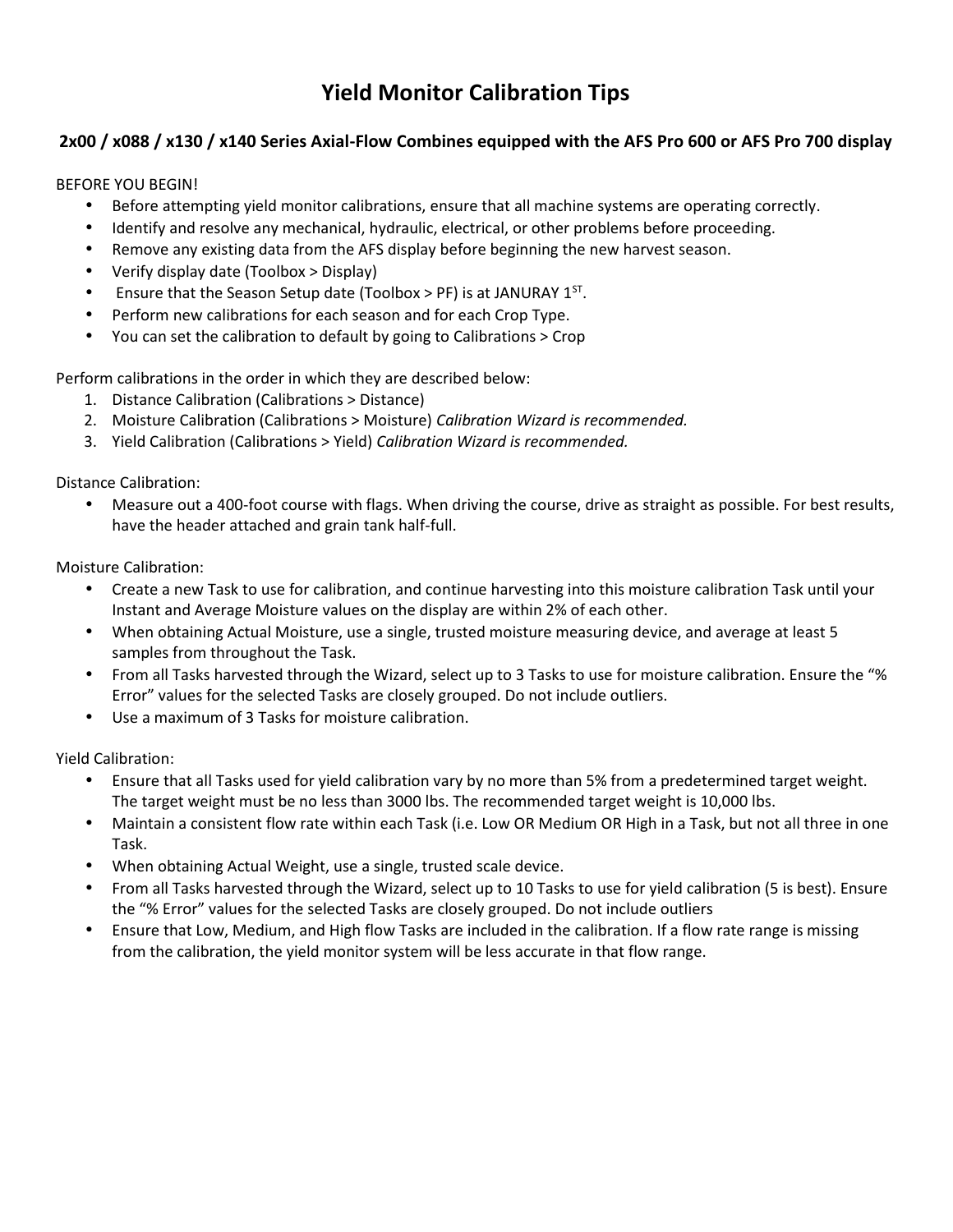# **Yield Monitor Calibration Tips**

### **2x00 / x088 / x130 / x140 Series Axial-Flow Combines equipped with the AFS Pro 600 or AFS Pro 700 display**

### BEFORE YOU BEGIN!

- Before attempting yield monitor calibrations, ensure that all machine systems are operating correctly.
- Identify and resolve any mechanical, hydraulic, electrical, or other problems before proceeding.
- Remove any existing data from the AFS display before beginning the new harvest season.
- Verify display date (Toolbox > Display)
- ) Ensure that the Season Setup date (Toolbox > PF) is at JANURAY  $1^{ST}$ .
- Perform new calibrations for each season and for each Crop Type.
- You can set the calibration to default by going to Calibrations > Crop

Perform calibrations in the order in which they are described below:

- 1. Distance Calibration (Calibrations > Distance)
- 2. Moisture Calibration (Calibrations > Moisture) *Calibration Wizard is recommended.*
- 3. Yield Calibration (Calibrations > Yield) *Calibration Wizard is recommended.*

Distance Calibration:

 Measure out a 400-foot course with flags. When driving the course, drive as straight as possible. For best results, have the header attached and grain tank half-full.

Moisture Calibration:

- Create a new Task to use for calibration, and continue harvesting into this moisture calibration Task until your Instant and Average Moisture values on the display are within 2% of each other.
- When obtaining Actual Moisture, use a single, trusted moisture measuring device, and average at least 5 samples from throughout the Task.
- From all Tasks harvested through the Wizard, select up to 3 Tasks to use for moisture calibration. Ensure the "% Error" values for the selected Tasks are closely grouped. Do not include outliers.
- Use a maximum of 3 Tasks for moisture calibration.

Yield Calibration:

- Ensure that all Tasks used for yield calibration vary by no more than 5% from a predetermined target weight. The target weight must be no less than 3000 lbs. The recommended target weight is 10,000 lbs.
- Maintain a consistent flow rate within each Task (i.e. Low OR Medium OR High in a Task, but not all three in one Task.
- When obtaining Actual Weight, use a single, trusted scale device.
- From all Tasks harvested through the Wizard, select up to 10 Tasks to use for yield calibration (5 is best). Ensure the "% Error" values for the selected Tasks are closely grouped. Do not include outliers
- Ensure that Low, Medium, and High flow Tasks are included in the calibration. If a flow rate range is missing from the calibration, the yield monitor system will be less accurate in that flow range.